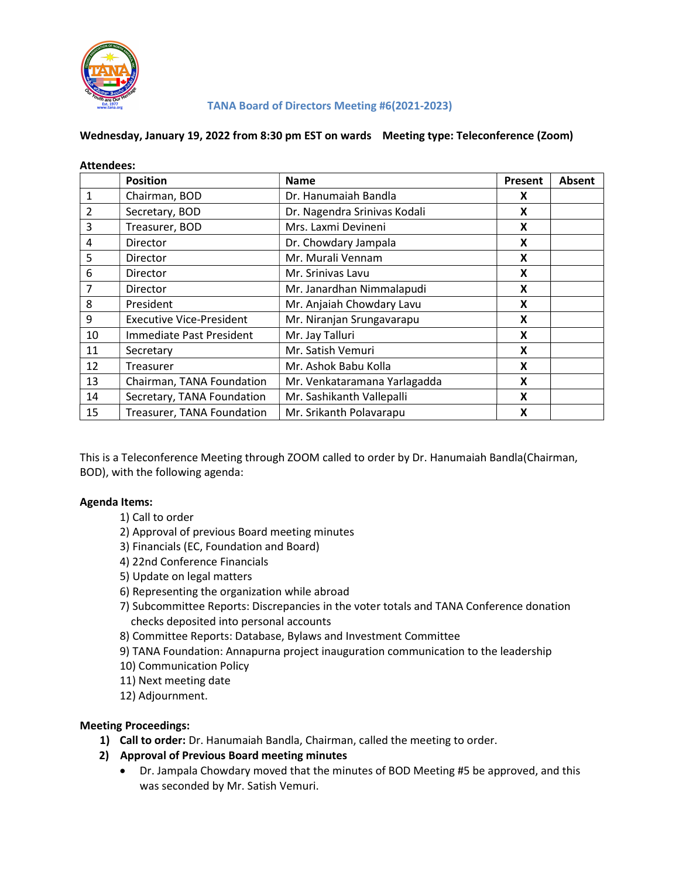

Attendees:

#### TANA Board of Directors Meeting #6(2021-2023)

#### Wednesday, January 19, 2022 from 8:30 pm EST on wards Meeting type: Teleconference (Zoom)

| Attendees:     |                                 |                              |         |        |
|----------------|---------------------------------|------------------------------|---------|--------|
|                | <b>Position</b>                 | <b>Name</b>                  | Present | Absent |
| 1              | Chairman, BOD                   | Dr. Hanumaiah Bandla         | X       |        |
| 2              | Secretary, BOD                  | Dr. Nagendra Srinivas Kodali | X       |        |
| 3              | Treasurer, BOD                  | Mrs. Laxmi Devineni          | X       |        |
| 4              | <b>Director</b>                 | Dr. Chowdary Jampala         | X       |        |
| 5              | <b>Director</b>                 | Mr. Murali Vennam            | X       |        |
| 6              | <b>Director</b>                 | Mr. Srinivas Lavu            | X       |        |
| $\overline{7}$ | <b>Director</b>                 | Mr. Janardhan Nimmalapudi    | X       |        |
| 8              | President                       | Mr. Anjaiah Chowdary Lavu    | X       |        |
| 9              | <b>Executive Vice-President</b> | Mr. Niranjan Srungavarapu    | X       |        |
| 10             | Immediate Past President        | Mr. Jay Talluri              | X       |        |
| 11             | Secretary                       | Mr. Satish Vemuri            | X       |        |
| 12             | Treasurer                       | Mr. Ashok Babu Kolla         | X       |        |
| 13             | Chairman, TANA Foundation       | Mr. Venkataramana Yarlagadda | X       |        |
| 14             | Secretary, TANA Foundation      | Mr. Sashikanth Vallepalli    | X       |        |
| 15             | Treasurer, TANA Foundation      | Mr. Srikanth Polavarapu      | X       |        |

This is a Teleconference Meeting through ZOOM called to order by Dr. Hanumaiah Bandla(Chairman, BOD), with the following agenda:

#### Agenda Items:

- 1) Call to order
- 2) Approval of previous Board meeting minutes
- 3) Financials (EC, Foundation and Board)
- 4) 22nd Conference Financials
- 5) Update on legal matters
- 6) Representing the organization while abroad
- 7) Subcommittee Reports: Discrepancies in the voter totals and TANA Conference donation checks deposited into personal accounts
- 8) Committee Reports: Database, Bylaws and Investment Committee
- 9) TANA Foundation: Annapurna project inauguration communication to the leadership
- 10) Communication Policy
- 11) Next meeting date
- 12) Adjournment.

#### Meeting Proceedings:

- 1) Call to order: Dr. Hanumaiah Bandla, Chairman, called the meeting to order.
- 2) Approval of Previous Board meeting minutes
	- Dr. Jampala Chowdary moved that the minutes of BOD Meeting #5 be approved, and this was seconded by Mr. Satish Vemuri.